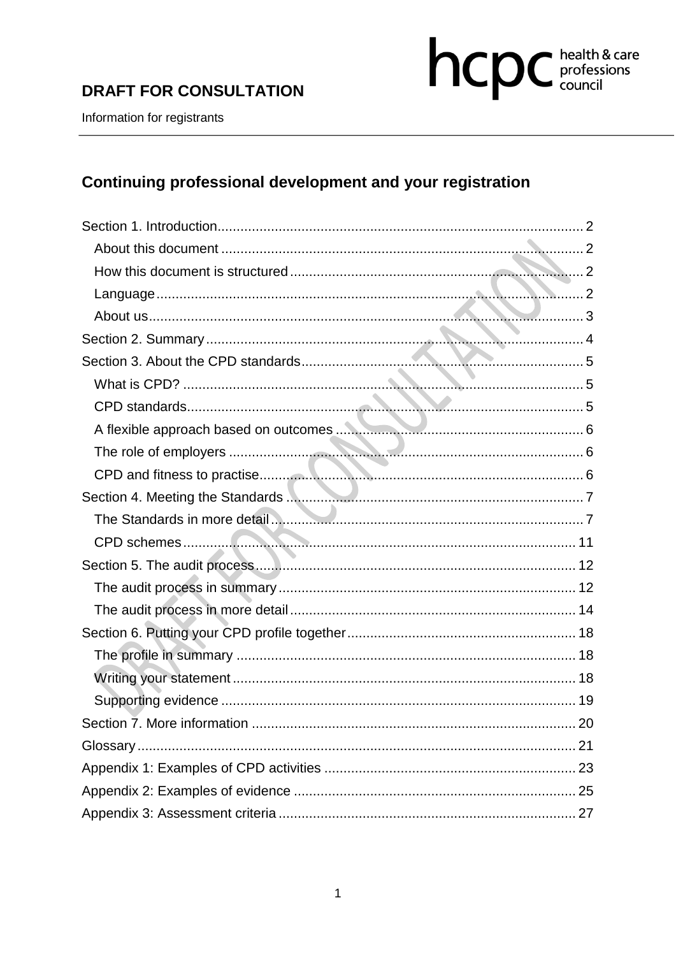# **DRAFT FOR CONSULTATION**



Information for registrants

# Continuing professional development and your registration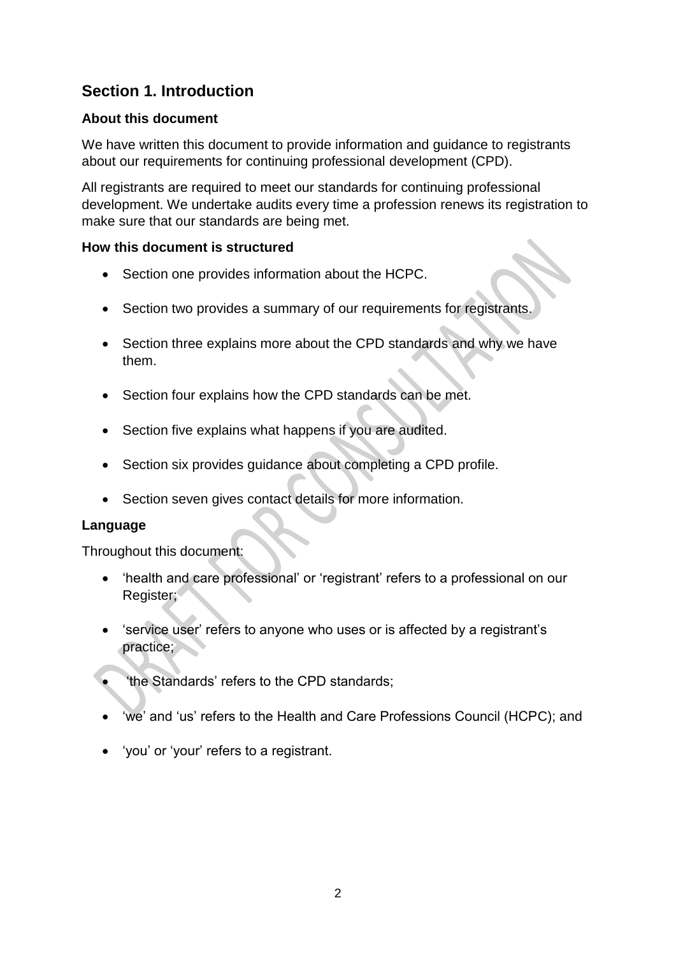# **Section 1. Introduction**

#### **About this document**

We have written this document to provide information and quidance to registrants about our requirements for continuing professional development (CPD).

All registrants are required to meet our standards for continuing professional development. We undertake audits every time a profession renews its registration to make sure that our standards are being met.

#### **How this document is structured**

- Section one provides information about the HCPC.
- Section two provides a summary of our requirements for registrants.
- Section three explains more about the CPD standards and why we have them.
- Section four explains how the CPD standards can be met.
- Section five explains what happens if you are audited.
- Section six provides guidance about completing a CPD profile.
- Section seven gives contact details for more information.

#### **Language**

Throughout this document:

- 'health and care professional' or 'registrant' refers to a professional on our Register;
- 'service user' refers to anyone who uses or is affected by a registrant's practice;
- 'the Standards' refers to the CPD standards;
- 'we' and 'us' refers to the Health and Care Professions Council (HCPC); and
- 'you' or 'your' refers to a registrant.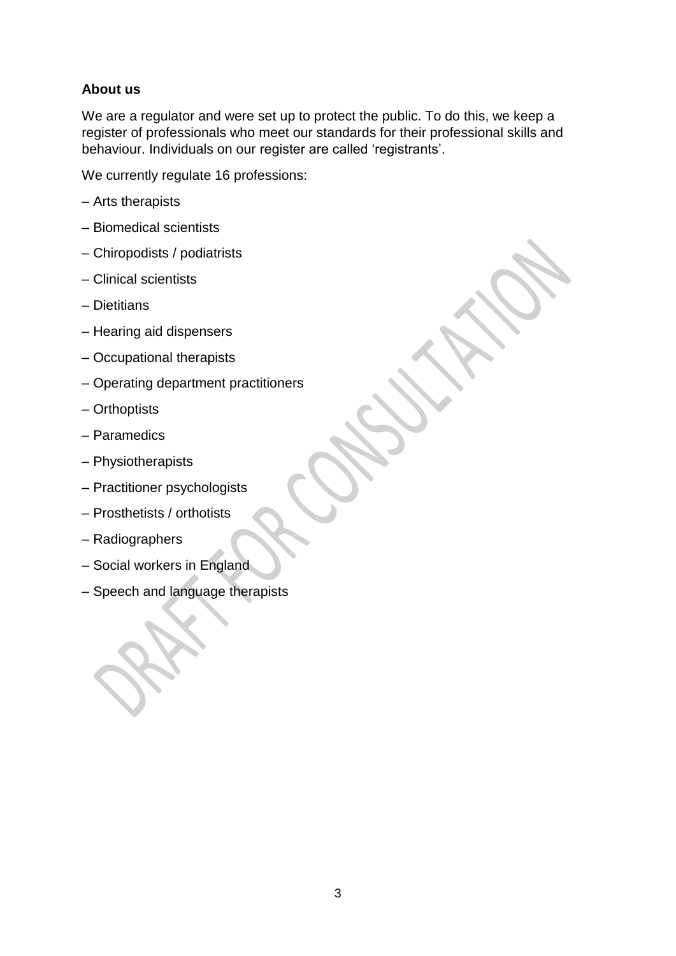### **About us**

We are a regulator and were set up to protect the public. To do this, we keep a register of professionals who meet our standards for their professional skills and behaviour. Individuals on our register are called 'registrants'.

We currently regulate 16 professions:

- Arts therapists
- Biomedical scientists
- Chiropodists / podiatrists
- Clinical scientists
- Dietitians
- Hearing aid dispensers
- Occupational therapists
- Operating department practitioners
- Orthoptists
- Paramedics
- Physiotherapists
- Practitioner psychologists
- Prosthetists / orthotists
- Radiographers
- Social workers in England
- Speech and language therapists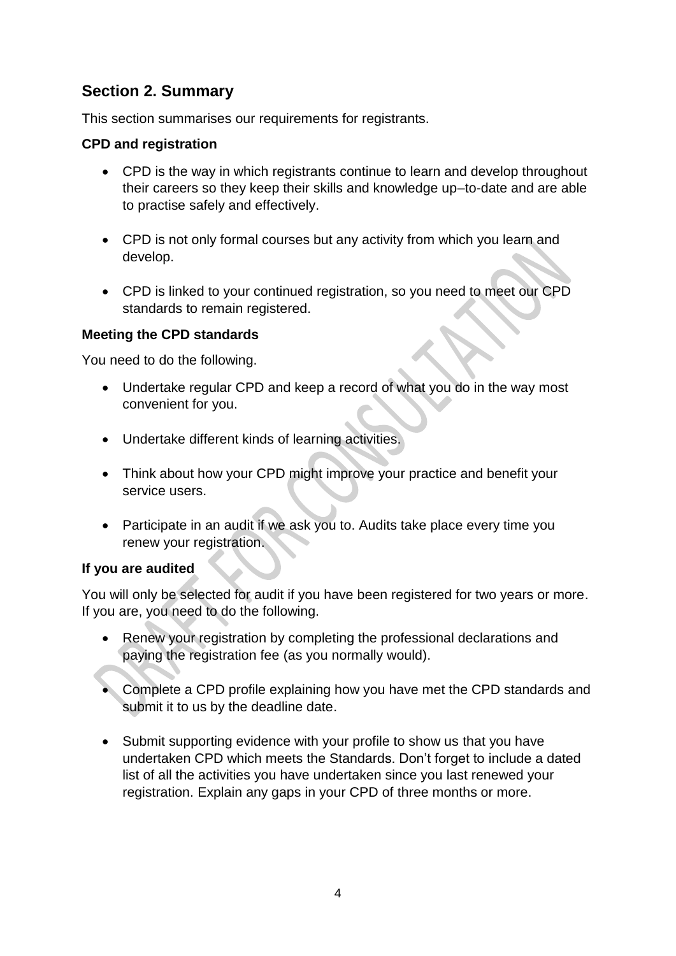# **Section 2. Summary**

This section summarises our requirements for registrants.

#### **CPD and registration**

- CPD is the way in which registrants continue to learn and develop throughout their careers so they keep their skills and knowledge up–to-date and are able to practise safely and effectively.
- CPD is not only formal courses but any activity from which you learn and develop.
- CPD is linked to your continued registration, so you need to meet our CPD standards to remain registered.

#### **Meeting the CPD standards**

You need to do the following.

- Undertake regular CPD and keep a record of what you do in the way most convenient for you.
- Undertake different kinds of learning activities.
- Think about how your CPD might improve your practice and benefit your service users.
- Participate in an audit if we ask you to. Audits take place every time you renew your registration.

#### **If you are audited**

You will only be selected for audit if you have been registered for two years or more. If you are, you need to do the following.

- Renew your registration by completing the professional declarations and paying the registration fee (as you normally would).
- Complete a CPD profile explaining how you have met the CPD standards and submit it to us by the deadline date.
- Submit supporting evidence with your profile to show us that you have undertaken CPD which meets the Standards. Don't forget to include a dated list of all the activities you have undertaken since you last renewed your registration. Explain any gaps in your CPD of three months or more.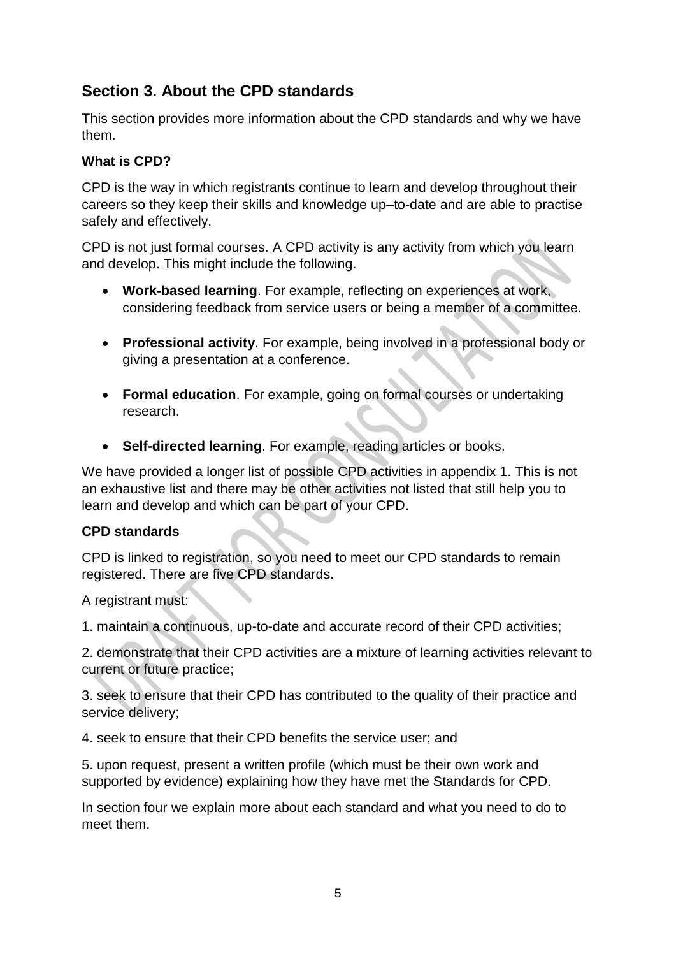# **Section 3. About the CPD standards**

This section provides more information about the CPD standards and why we have them.

### **What is CPD?**

CPD is the way in which registrants continue to learn and develop throughout their careers so they keep their skills and knowledge up–to-date and are able to practise safely and effectively.

CPD is not just formal courses. A CPD activity is any activity from which you learn and develop. This might include the following.

- **Work-based learning**. For example, reflecting on experiences at work, considering feedback from service users or being a member of a committee.
- **Professional activity**. For example, being involved in a professional body or giving a presentation at a conference.
- **Formal education**. For example, going on formal courses or undertaking research.
- **Self-directed learning**. For example, reading articles or books.

We have provided a longer list of possible CPD activities in appendix 1. This is not an exhaustive list and there may be other activities not listed that still help you to learn and develop and which can be part of your CPD.

#### **CPD standards**

CPD is linked to registration, so you need to meet our CPD standards to remain registered. There are five CPD standards.

A registrant must:

1. maintain a continuous, up-to-date and accurate record of their CPD activities;

2. demonstrate that their CPD activities are a mixture of learning activities relevant to current or future practice;

3. seek to ensure that their CPD has contributed to the quality of their practice and service delivery;

4. seek to ensure that their CPD benefits the service user; and

5. upon request, present a written profile (which must be their own work and supported by evidence) explaining how they have met the Standards for CPD.

In section four we explain more about each standard and what you need to do to meet them.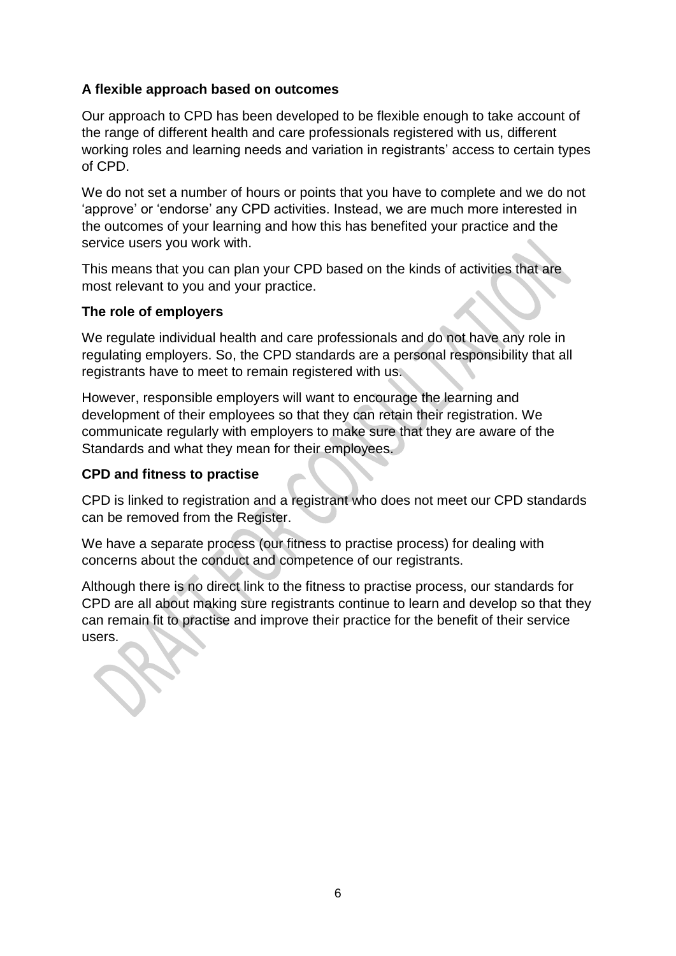#### **A flexible approach based on outcomes**

Our approach to CPD has been developed to be flexible enough to take account of the range of different health and care professionals registered with us, different working roles and learning needs and variation in registrants' access to certain types of CPD.

We do not set a number of hours or points that you have to complete and we do not 'approve' or 'endorse' any CPD activities. Instead, we are much more interested in the outcomes of your learning and how this has benefited your practice and the service users you work with.

This means that you can plan your CPD based on the kinds of activities that are most relevant to you and your practice.

#### **The role of employers**

We regulate individual health and care professionals and do not have any role in regulating employers. So, the CPD standards are a personal responsibility that all registrants have to meet to remain registered with us.

However, responsible employers will want to encourage the learning and development of their employees so that they can retain their registration. We communicate regularly with employers to make sure that they are aware of the Standards and what they mean for their employees.

#### **CPD and fitness to practise**

CPD is linked to registration and a registrant who does not meet our CPD standards can be removed from the Register.

We have a separate process (our fitness to practise process) for dealing with concerns about the conduct and competence of our registrants.

Although there is no direct link to the fitness to practise process, our standards for CPD are all about making sure registrants continue to learn and develop so that they can remain fit to practise and improve their practice for the benefit of their service users.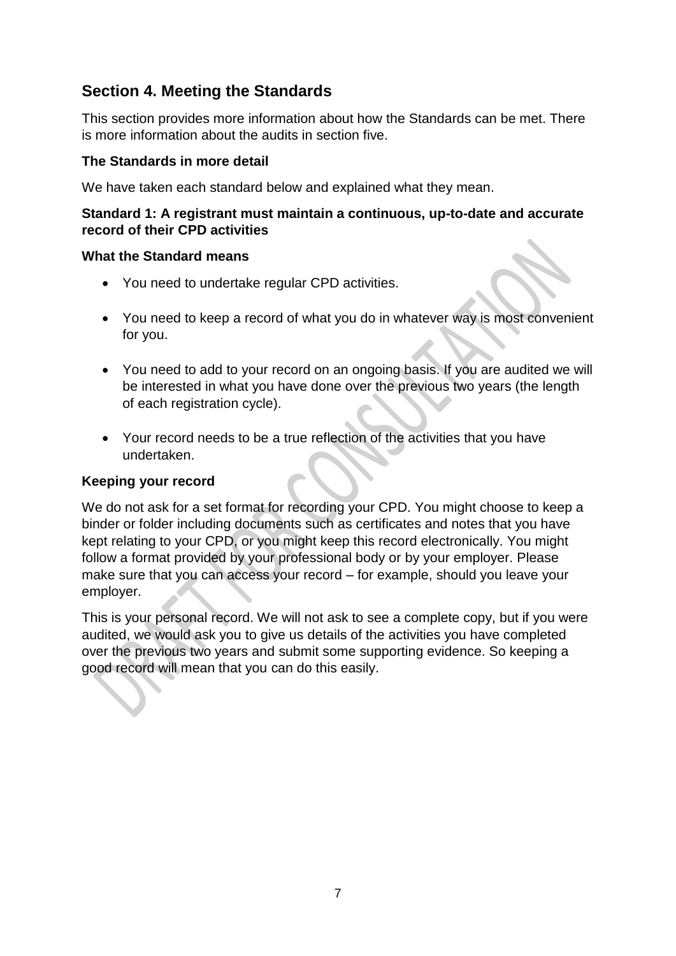# **Section 4. Meeting the Standards**

This section provides more information about how the Standards can be met. There is more information about the audits in section five.

#### **The Standards in more detail**

We have taken each standard below and explained what they mean.

#### **Standard 1: A registrant must maintain a continuous, up-to-date and accurate record of their CPD activities**

#### **What the Standard means**

- You need to undertake regular CPD activities.
- You need to keep a record of what you do in whatever way is most convenient for you.
- You need to add to your record on an ongoing basis. If you are audited we will be interested in what you have done over the previous two years (the length of each registration cycle).
- Your record needs to be a true reflection of the activities that you have undertaken.

#### **Keeping your record**

We do not ask for a set format for recording your CPD. You might choose to keep a binder or folder including documents such as certificates and notes that you have kept relating to your CPD, or you might keep this record electronically. You might follow a format provided by your professional body or by your employer. Please make sure that you can access your record – for example, should you leave your employer.

This is your personal record. We will not ask to see a complete copy, but if you were audited, we would ask you to give us details of the activities you have completed over the previous two years and submit some supporting evidence. So keeping a good record will mean that you can do this easily.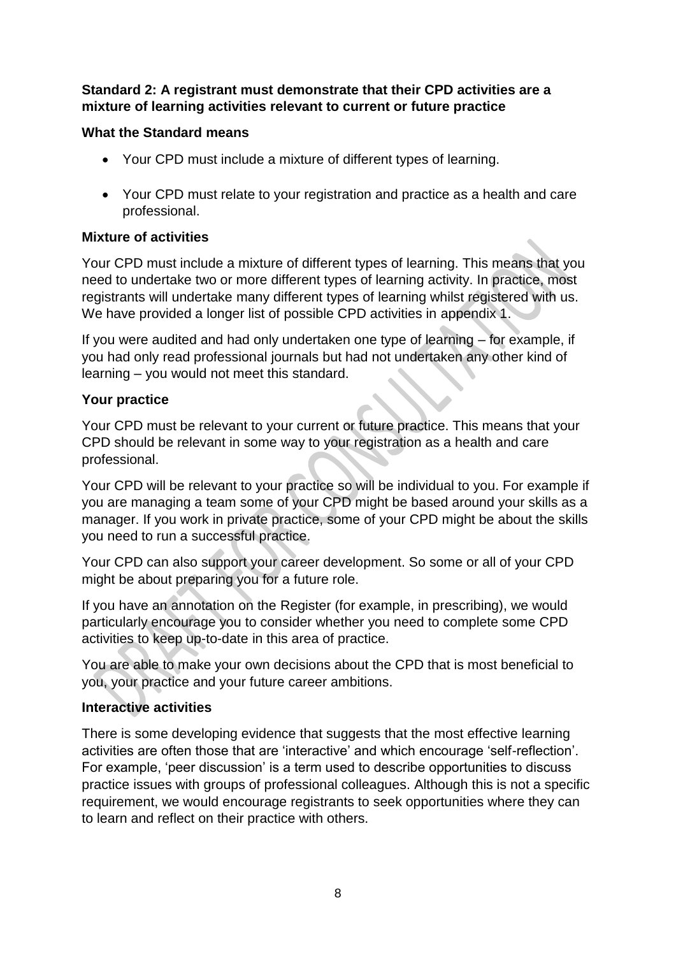#### **Standard 2: A registrant must demonstrate that their CPD activities are a mixture of learning activities relevant to current or future practice**

### **What the Standard means**

- Your CPD must include a mixture of different types of learning.
- Your CPD must relate to your registration and practice as a health and care professional.

### **Mixture of activities**

Your CPD must include a mixture of different types of learning. This means that you need to undertake two or more different types of learning activity. In practice, most registrants will undertake many different types of learning whilst registered with us. We have provided a longer list of possible CPD activities in appendix 1.

If you were audited and had only undertaken one type of learning – for example, if you had only read professional journals but had not undertaken any other kind of learning – you would not meet this standard.

#### **Your practice**

Your CPD must be relevant to your current or future practice. This means that your CPD should be relevant in some way to your registration as a health and care professional.

Your CPD will be relevant to your practice so will be individual to you. For example if you are managing a team some of your CPD might be based around your skills as a manager. If you work in private practice, some of your CPD might be about the skills you need to run a successful practice.

Your CPD can also support your career development. So some or all of your CPD might be about preparing you for a future role.

If you have an annotation on the Register (for example, in prescribing), we would particularly encourage you to consider whether you need to complete some CPD activities to keep up-to-date in this area of practice.

You are able to make your own decisions about the CPD that is most beneficial to you, your practice and your future career ambitions.

#### **Interactive activities**

There is some developing evidence that suggests that the most effective learning activities are often those that are 'interactive' and which encourage 'self-reflection'. For example, 'peer discussion' is a term used to describe opportunities to discuss practice issues with groups of professional colleagues. Although this is not a specific requirement, we would encourage registrants to seek opportunities where they can to learn and reflect on their practice with others.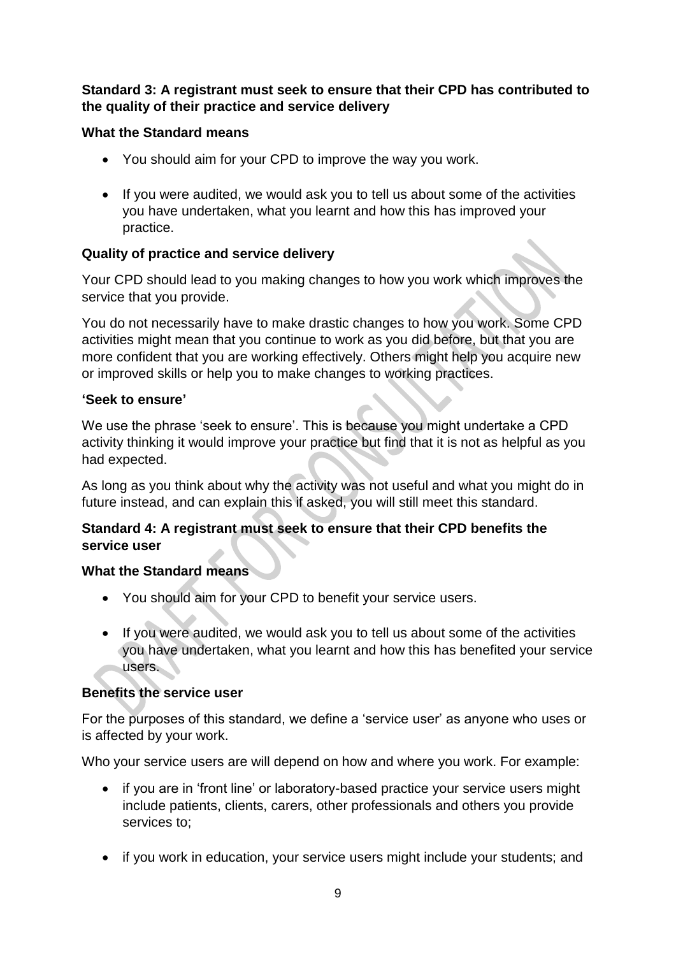### **Standard 3: A registrant must seek to ensure that their CPD has contributed to the quality of their practice and service delivery**

### **What the Standard means**

- You should aim for your CPD to improve the way you work.
- If you were audited, we would ask you to tell us about some of the activities you have undertaken, what you learnt and how this has improved your practice.

## **Quality of practice and service delivery**

Your CPD should lead to you making changes to how you work which improves the service that you provide.

You do not necessarily have to make drastic changes to how you work. Some CPD activities might mean that you continue to work as you did before, but that you are more confident that you are working effectively. Others might help you acquire new or improved skills or help you to make changes to working practices.

#### **'Seek to ensure'**

We use the phrase 'seek to ensure'. This is because you might undertake a CPD activity thinking it would improve your practice but find that it is not as helpful as you had expected.

As long as you think about why the activity was not useful and what you might do in future instead, and can explain this if asked, you will still meet this standard.

### **Standard 4: A registrant must seek to ensure that their CPD benefits the service user**

#### **What the Standard means**

- You should aim for your CPD to benefit your service users.
- If you were audited, we would ask you to tell us about some of the activities you have undertaken, what you learnt and how this has benefited your service users.

#### **Benefits the service user**

For the purposes of this standard, we define a 'service user' as anyone who uses or is affected by your work.

Who your service users are will depend on how and where you work. For example:

- if you are in 'front line' or laboratory-based practice your service users might include patients, clients, carers, other professionals and others you provide services to;
- if you work in education, your service users might include your students; and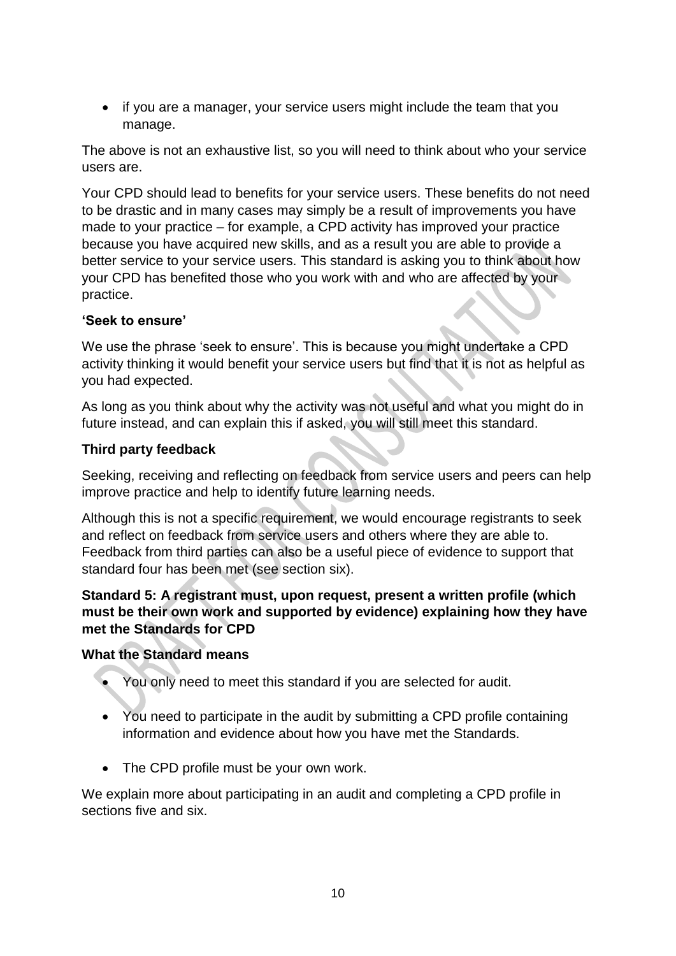• if you are a manager, your service users might include the team that you manage.

The above is not an exhaustive list, so you will need to think about who your service users are.

Your CPD should lead to benefits for your service users. These benefits do not need to be drastic and in many cases may simply be a result of improvements you have made to your practice – for example, a CPD activity has improved your practice because you have acquired new skills, and as a result you are able to provide a better service to your service users. This standard is asking you to think about how your CPD has benefited those who you work with and who are affected by your practice.

#### **'Seek to ensure'**

We use the phrase 'seek to ensure'. This is because you might undertake a CPD activity thinking it would benefit your service users but find that it is not as helpful as you had expected.

As long as you think about why the activity was not useful and what you might do in future instead, and can explain this if asked, you will still meet this standard.

### **Third party feedback**

Seeking, receiving and reflecting on feedback from service users and peers can help improve practice and help to identify future learning needs.

Although this is not a specific requirement, we would encourage registrants to seek and reflect on feedback from service users and others where they are able to. Feedback from third parties can also be a useful piece of evidence to support that standard four has been met (see section six).

#### **Standard 5: A registrant must, upon request, present a written profile (which must be their own work and supported by evidence) explaining how they have met the Standards for CPD**

#### **What the Standard means**

- You only need to meet this standard if you are selected for audit.
- You need to participate in the audit by submitting a CPD profile containing information and evidence about how you have met the Standards.
- The CPD profile must be your own work.

We explain more about participating in an audit and completing a CPD profile in sections five and six.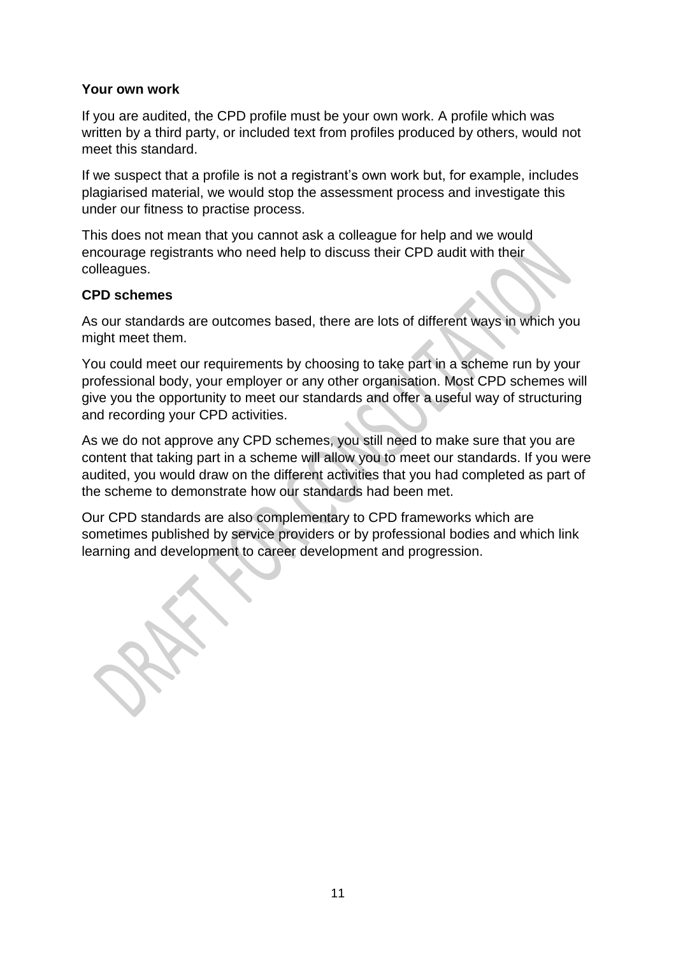#### **Your own work**

If you are audited, the CPD profile must be your own work. A profile which was written by a third party, or included text from profiles produced by others, would not meet this standard.

If we suspect that a profile is not a registrant's own work but, for example, includes plagiarised material, we would stop the assessment process and investigate this under our fitness to practise process.

This does not mean that you cannot ask a colleague for help and we would encourage registrants who need help to discuss their CPD audit with their colleagues.

#### **CPD schemes**

As our standards are outcomes based, there are lots of different ways in which you might meet them.

You could meet our requirements by choosing to take part in a scheme run by your professional body, your employer or any other organisation. Most CPD schemes will give you the opportunity to meet our standards and offer a useful way of structuring and recording your CPD activities.

As we do not approve any CPD schemes, you still need to make sure that you are content that taking part in a scheme will allow you to meet our standards. If you were audited, you would draw on the different activities that you had completed as part of the scheme to demonstrate how our standards had been met.

Our CPD standards are also complementary to CPD frameworks which are sometimes published by service providers or by professional bodies and which link learning and development to career development and progression.

11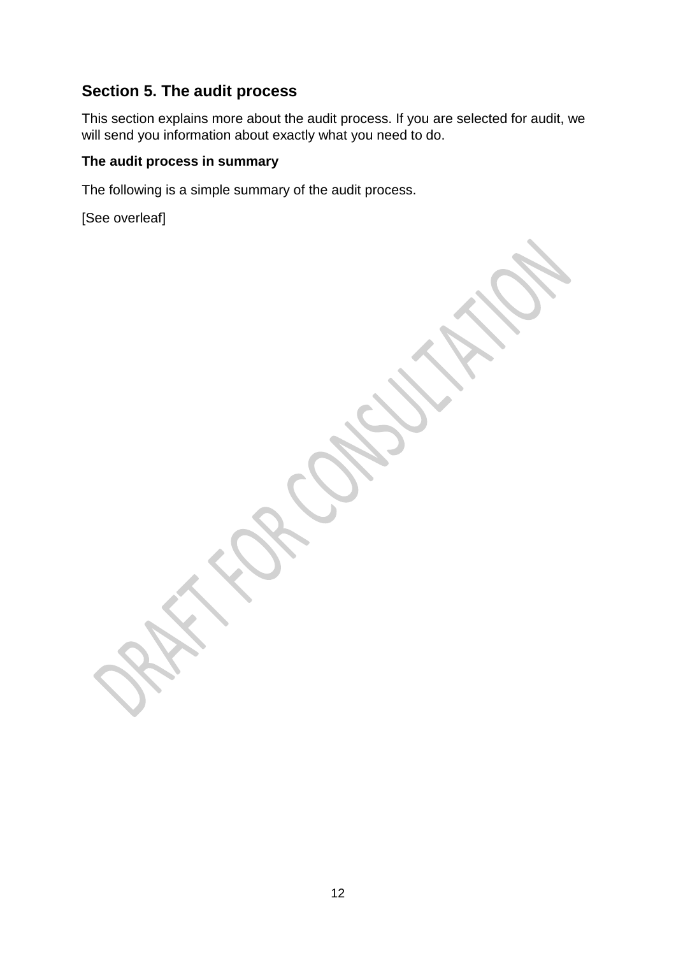# **Section 5. The audit process**

This section explains more about the audit process. If you are selected for audit, we will send you information about exactly what you need to do.

### **The audit process in summary**

The following is a simple summary of the audit process.

[See overleaf]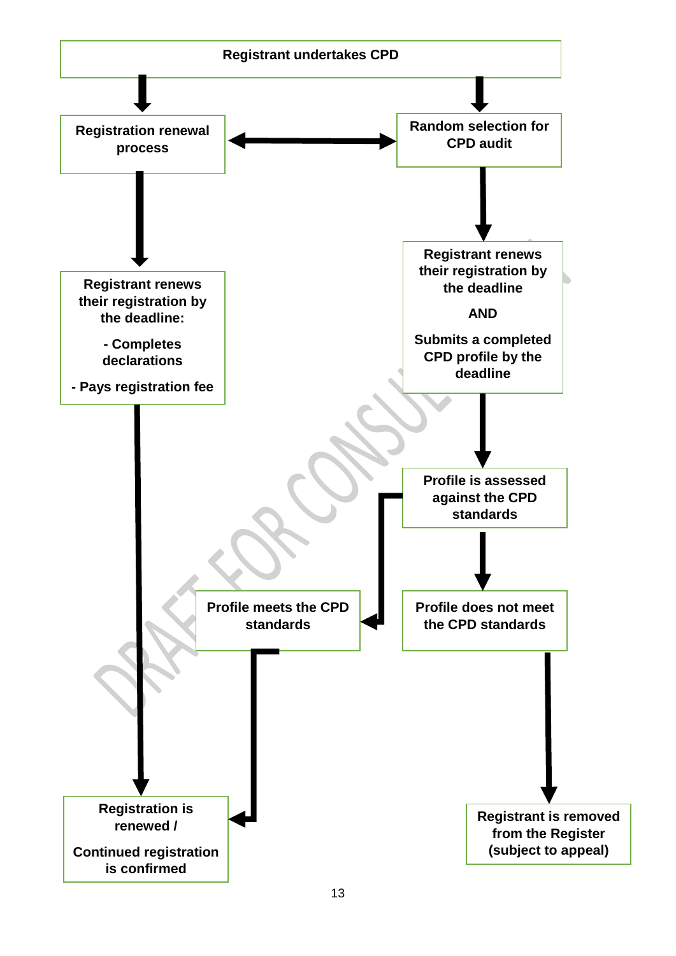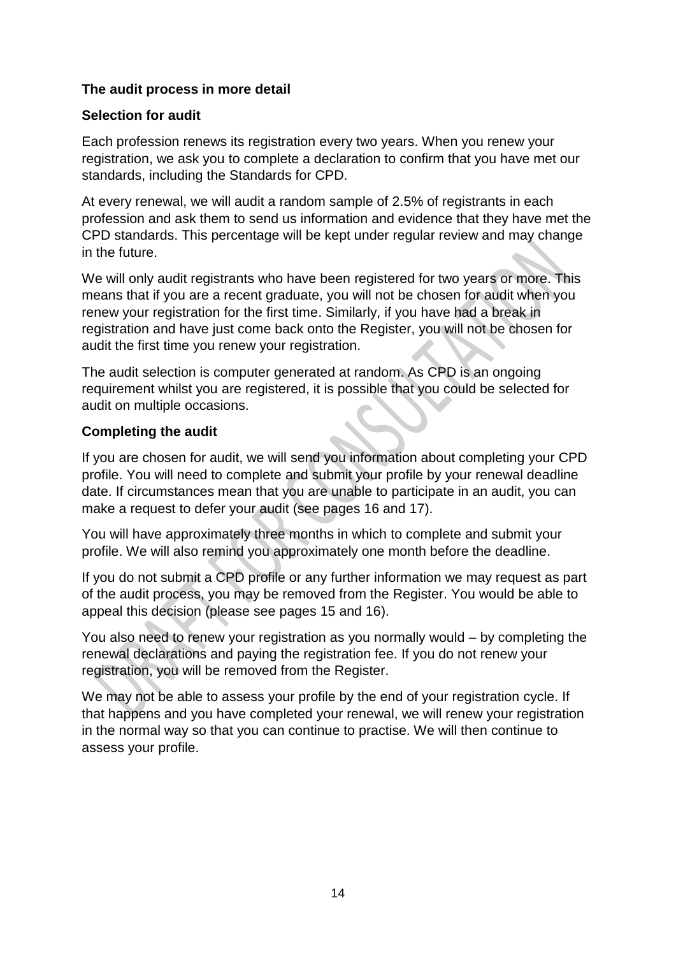#### **The audit process in more detail**

#### **Selection for audit**

Each profession renews its registration every two years. When you renew your registration, we ask you to complete a declaration to confirm that you have met our standards, including the Standards for CPD.

At every renewal, we will audit a random sample of 2.5% of registrants in each profession and ask them to send us information and evidence that they have met the CPD standards. This percentage will be kept under regular review and may change in the future.

We will only audit registrants who have been registered for two years or more. This means that if you are a recent graduate, you will not be chosen for audit when you renew your registration for the first time. Similarly, if you have had a break in registration and have just come back onto the Register, you will not be chosen for audit the first time you renew your registration.

The audit selection is computer generated at random. As CPD is an ongoing requirement whilst you are registered, it is possible that you could be selected for audit on multiple occasions.

#### **Completing the audit**

If you are chosen for audit, we will send you information about completing your CPD profile. You will need to complete and submit your profile by your renewal deadline date. If circumstances mean that you are unable to participate in an audit, you can make a request to defer your audit (see pages 16 and 17).

You will have approximately three months in which to complete and submit your profile. We will also remind you approximately one month before the deadline.

If you do not submit a CPD profile or any further information we may request as part of the audit process, you may be removed from the Register. You would be able to appeal this decision (please see pages 15 and 16).

You also need to renew your registration as you normally would – by completing the renewal declarations and paying the registration fee. If you do not renew your registration, you will be removed from the Register.

We may not be able to assess your profile by the end of your registration cycle. If that happens and you have completed your renewal, we will renew your registration in the normal way so that you can continue to practise. We will then continue to assess your profile.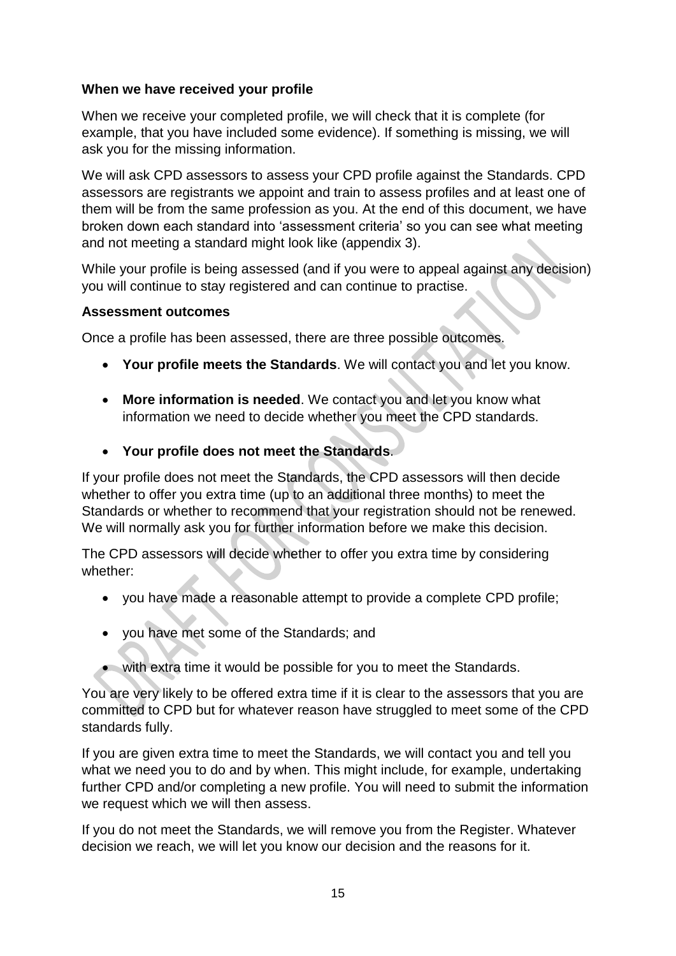#### **When we have received your profile**

When we receive your completed profile, we will check that it is complete (for example, that you have included some evidence). If something is missing, we will ask you for the missing information.

We will ask CPD assessors to assess your CPD profile against the Standards. CPD assessors are registrants we appoint and train to assess profiles and at least one of them will be from the same profession as you. At the end of this document, we have broken down each standard into 'assessment criteria' so you can see what meeting and not meeting a standard might look like (appendix 3).

While your profile is being assessed (and if you were to appeal against any decision) you will continue to stay registered and can continue to practise.

#### **Assessment outcomes**

Once a profile has been assessed, there are three possible outcomes.

- **Your profile meets the Standards**. We will contact you and let you know.
- **More information is needed**. We contact you and let you know what information we need to decide whether you meet the CPD standards.
- **Your profile does not meet the Standards**.

If your profile does not meet the Standards, the CPD assessors will then decide whether to offer you extra time (up to an additional three months) to meet the Standards or whether to recommend that your registration should not be renewed. We will normally ask you for further information before we make this decision.

The CPD assessors will decide whether to offer you extra time by considering whether:

- you have made a reasonable attempt to provide a complete CPD profile;
- you have met some of the Standards; and
- with extra time it would be possible for you to meet the Standards.

You are very likely to be offered extra time if it is clear to the assessors that you are committed to CPD but for whatever reason have struggled to meet some of the CPD standards fully.

If you are given extra time to meet the Standards, we will contact you and tell you what we need you to do and by when. This might include, for example, undertaking further CPD and/or completing a new profile. You will need to submit the information we request which we will then assess.

If you do not meet the Standards, we will remove you from the Register. Whatever decision we reach, we will let you know our decision and the reasons for it.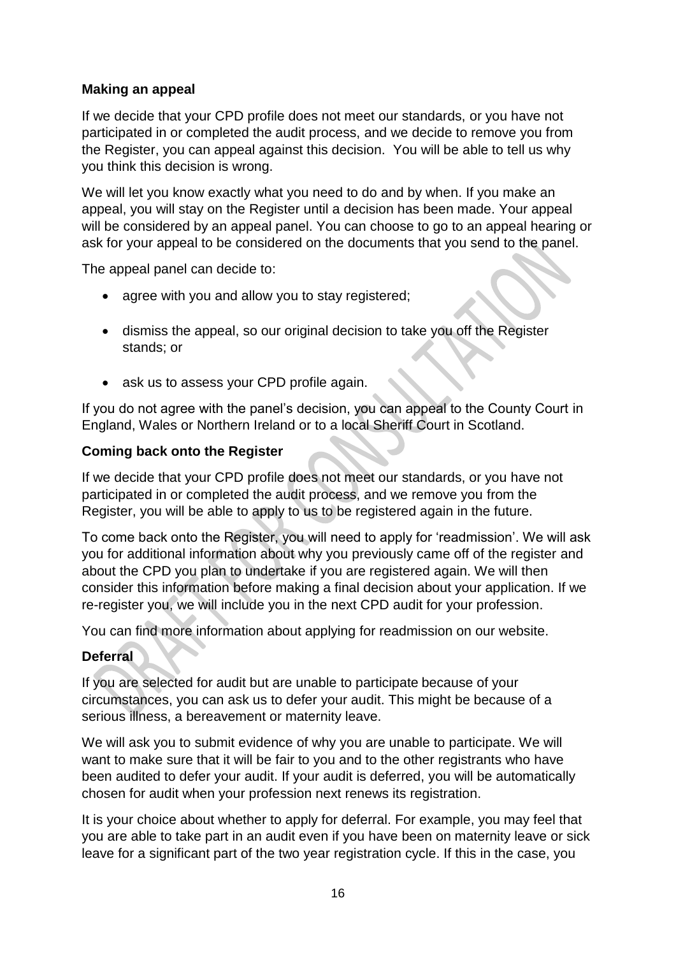### **Making an appeal**

If we decide that your CPD profile does not meet our standards, or you have not participated in or completed the audit process, and we decide to remove you from the Register, you can appeal against this decision. You will be able to tell us why you think this decision is wrong.

We will let you know exactly what you need to do and by when. If you make an appeal, you will stay on the Register until a decision has been made. Your appeal will be considered by an appeal panel. You can choose to go to an appeal hearing or ask for your appeal to be considered on the documents that you send to the panel.

The appeal panel can decide to:

- agree with you and allow you to stay registered:
- dismiss the appeal, so our original decision to take you off the Register stands; or
- ask us to assess your CPD profile again.

If you do not agree with the panel's decision, you can appeal to the County Court in England, Wales or Northern Ireland or to a local Sheriff Court in Scotland.

#### **Coming back onto the Register**

If we decide that your CPD profile does not meet our standards, or you have not participated in or completed the audit process, and we remove you from the Register, you will be able to apply to us to be registered again in the future.

To come back onto the Register, you will need to apply for 'readmission'. We will ask you for additional information about why you previously came off of the register and about the CPD you plan to undertake if you are registered again. We will then consider this information before making a final decision about your application. If we re-register you, we will include you in the next CPD audit for your profession.

You can find more information about applying for readmission on our website.

#### **Deferral**

If you are selected for audit but are unable to participate because of your circumstances, you can ask us to defer your audit. This might be because of a serious illness, a bereavement or maternity leave.

We will ask you to submit evidence of why you are unable to participate. We will want to make sure that it will be fair to you and to the other registrants who have been audited to defer your audit. If your audit is deferred, you will be automatically chosen for audit when your profession next renews its registration.

It is your choice about whether to apply for deferral. For example, you may feel that you are able to take part in an audit even if you have been on maternity leave or sick leave for a significant part of the two year registration cycle. If this in the case, you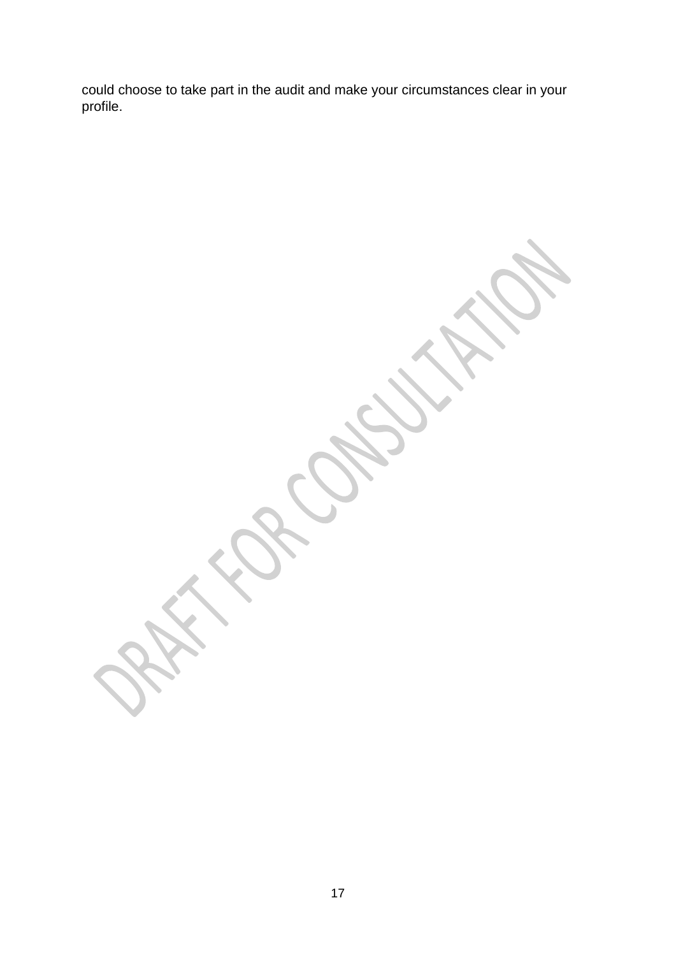could choose to take part in the audit and make your circumstances clear in your profile.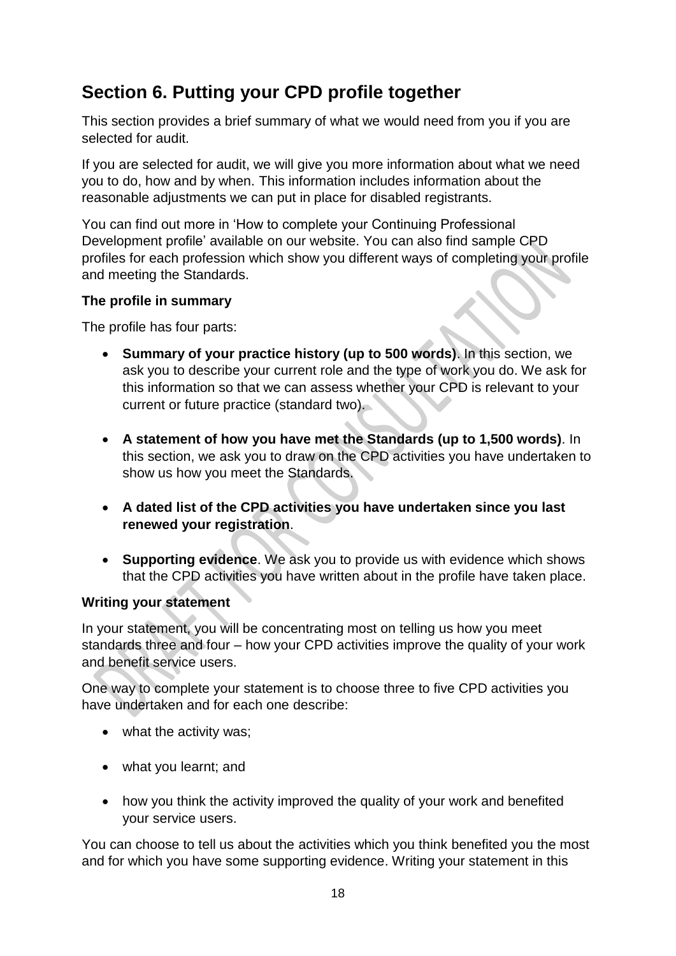# **Section 6. Putting your CPD profile together**

This section provides a brief summary of what we would need from you if you are selected for audit.

If you are selected for audit, we will give you more information about what we need you to do, how and by when. This information includes information about the reasonable adjustments we can put in place for disabled registrants.

You can find out more in 'How to complete your Continuing Professional Development profile' available on our website. You can also find sample CPD profiles for each profession which show you different ways of completing your profile and meeting the Standards.

#### **The profile in summary**

The profile has four parts:

- **Summary of your practice history (up to 500 words)**. In this section, we ask you to describe your current role and the type of work you do. We ask for this information so that we can assess whether your CPD is relevant to your current or future practice (standard two).
- **A statement of how you have met the Standards (up to 1,500 words)**. In this section, we ask you to draw on the CPD activities you have undertaken to show us how you meet the Standards.
- **A dated list of the CPD activities you have undertaken since you last renewed your registration**.
- **Supporting evidence**. We ask you to provide us with evidence which shows that the CPD activities you have written about in the profile have taken place.

## **Writing your statement**

In your statement, you will be concentrating most on telling us how you meet standards three and four – how your CPD activities improve the quality of your work and benefit service users.

One way to complete your statement is to choose three to five CPD activities you have undertaken and for each one describe:

- what the activity was;
- what you learnt; and
- how you think the activity improved the quality of your work and benefited your service users.

You can choose to tell us about the activities which you think benefited you the most and for which you have some supporting evidence. Writing your statement in this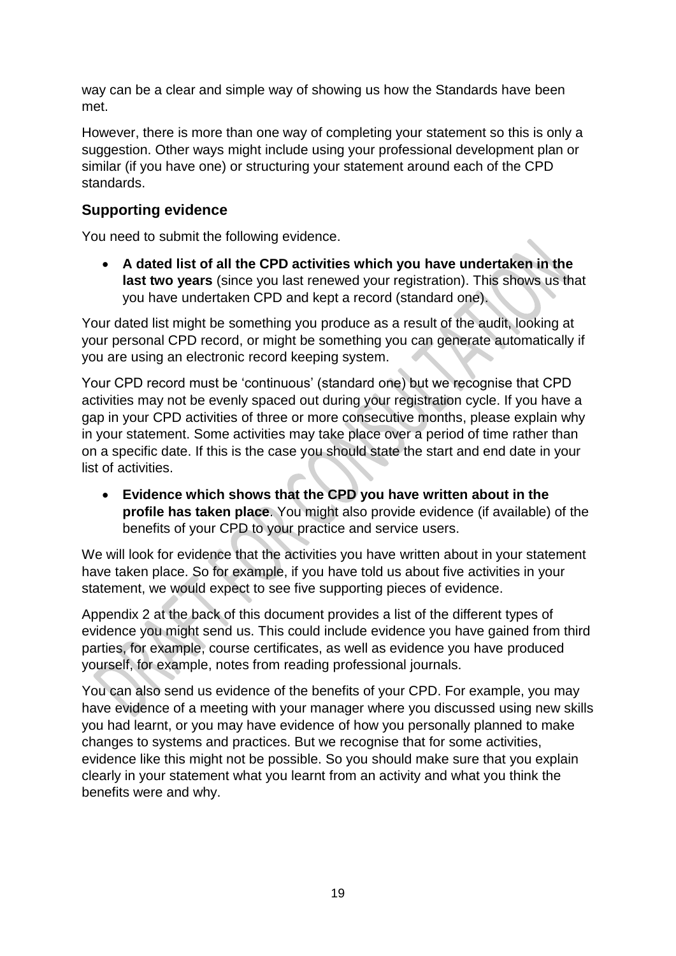way can be a clear and simple way of showing us how the Standards have been met.

However, there is more than one way of completing your statement so this is only a suggestion. Other ways might include using your professional development plan or similar (if you have one) or structuring your statement around each of the CPD standards.

# **Supporting evidence**

You need to submit the following evidence.

 **A dated list of all the CPD activities which you have undertaken in the last two years** (since you last renewed your registration). This shows us that you have undertaken CPD and kept a record (standard one).

Your dated list might be something you produce as a result of the audit, looking at your personal CPD record, or might be something you can generate automatically if you are using an electronic record keeping system.

Your CPD record must be 'continuous' (standard one) but we recognise that CPD activities may not be evenly spaced out during your registration cycle. If you have a gap in your CPD activities of three or more consecutive months, please explain why in your statement. Some activities may take place over a period of time rather than on a specific date. If this is the case you should state the start and end date in your list of activities.

 **Evidence which shows that the CPD you have written about in the profile has taken place**. You might also provide evidence (if available) of the benefits of your CPD to your practice and service users.

We will look for evidence that the activities you have written about in your statement have taken place. So for example, if you have told us about five activities in your statement, we would expect to see five supporting pieces of evidence.

Appendix 2 at the back of this document provides a list of the different types of evidence you might send us. This could include evidence you have gained from third parties, for example, course certificates, as well as evidence you have produced yourself, for example, notes from reading professional journals.

You can also send us evidence of the benefits of your CPD. For example, you may have evidence of a meeting with your manager where you discussed using new skills you had learnt, or you may have evidence of how you personally planned to make changes to systems and practices. But we recognise that for some activities, evidence like this might not be possible. So you should make sure that you explain clearly in your statement what you learnt from an activity and what you think the benefits were and why.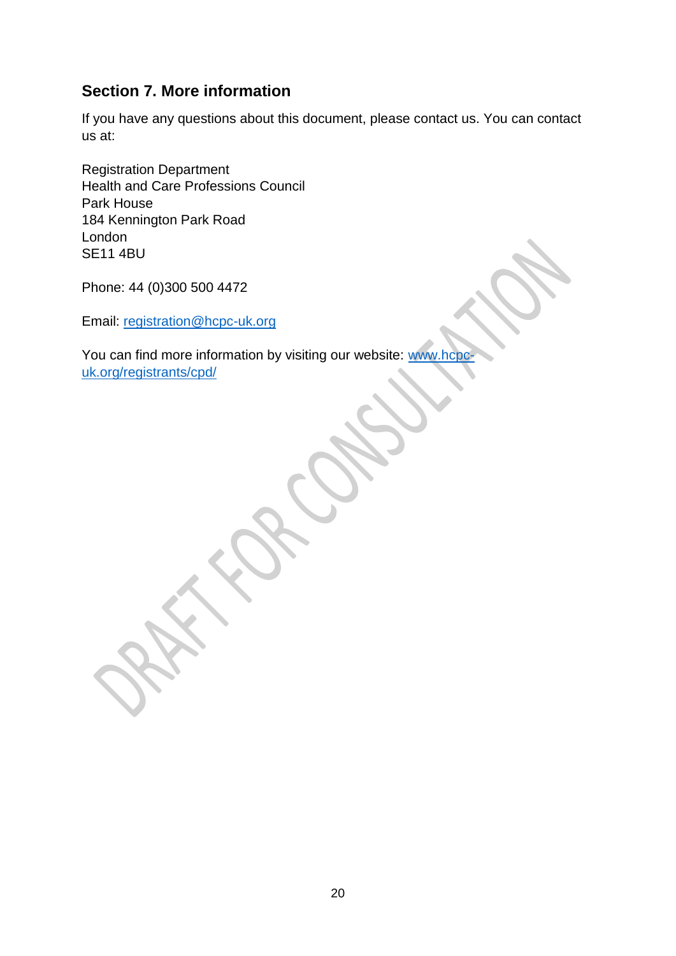# **Section 7. More information**

If you have any questions about this document, please contact us. You can contact us at:

Registration Department Health and Care Professions Council Park House 184 Kennington Park Road London SE11 4BU

Phone: 44 (0)300 500 4472

Email: registration@hcpc-uk.org

You can find more information by visiting our website: www.hc uk.org/registrants/cpd/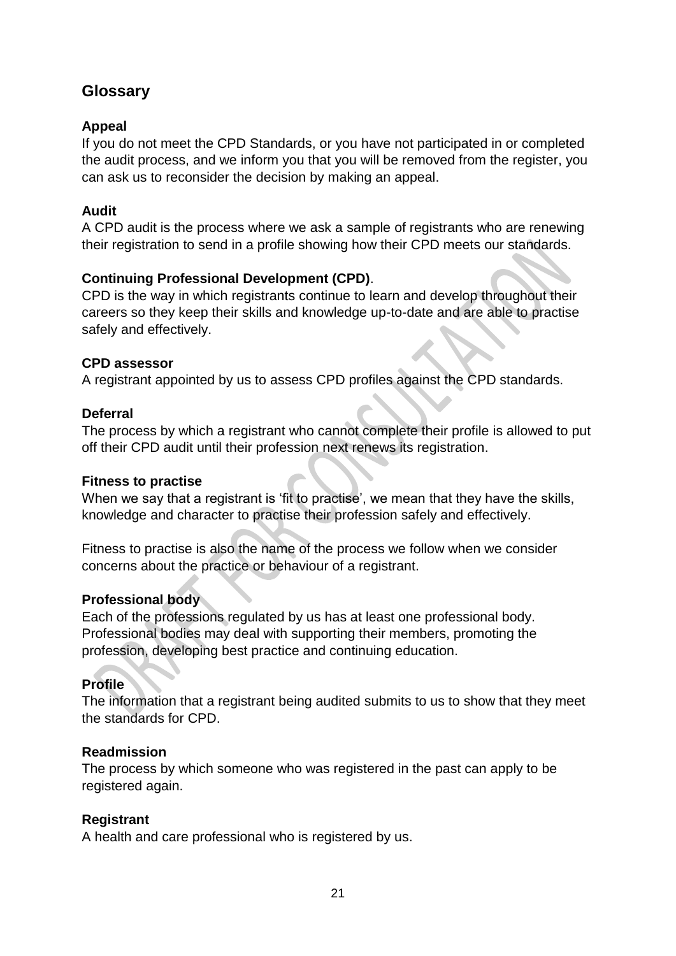# **Glossary**

### **Appeal**

If you do not meet the CPD Standards, or you have not participated in or completed the audit process, and we inform you that you will be removed from the register, you can ask us to reconsider the decision by making an appeal.

### **Audit**

A CPD audit is the process where we ask a sample of registrants who are renewing their registration to send in a profile showing how their CPD meets our standards.

### **Continuing Professional Development (CPD)**.

CPD is the way in which registrants continue to learn and develop throughout their careers so they keep their skills and knowledge up-to-date and are able to practise safely and effectively.

#### **CPD assessor**

A registrant appointed by us to assess CPD profiles against the CPD standards.

#### **Deferral**

The process by which a registrant who cannot complete their profile is allowed to put off their CPD audit until their profession next renews its registration.

#### **Fitness to practise**

When we say that a registrant is 'fit to practise', we mean that they have the skills, knowledge and character to practise their profession safely and effectively.

Fitness to practise is also the name of the process we follow when we consider concerns about the practice or behaviour of a registrant.

#### **Professional body**

Each of the professions regulated by us has at least one professional body. Professional bodies may deal with supporting their members, promoting the profession, developing best practice and continuing education.

## **Profile**

The information that a registrant being audited submits to us to show that they meet the standards for CPD.

#### **Readmission**

The process by which someone who was registered in the past can apply to be registered again.

#### **Registrant**

A health and care professional who is registered by us.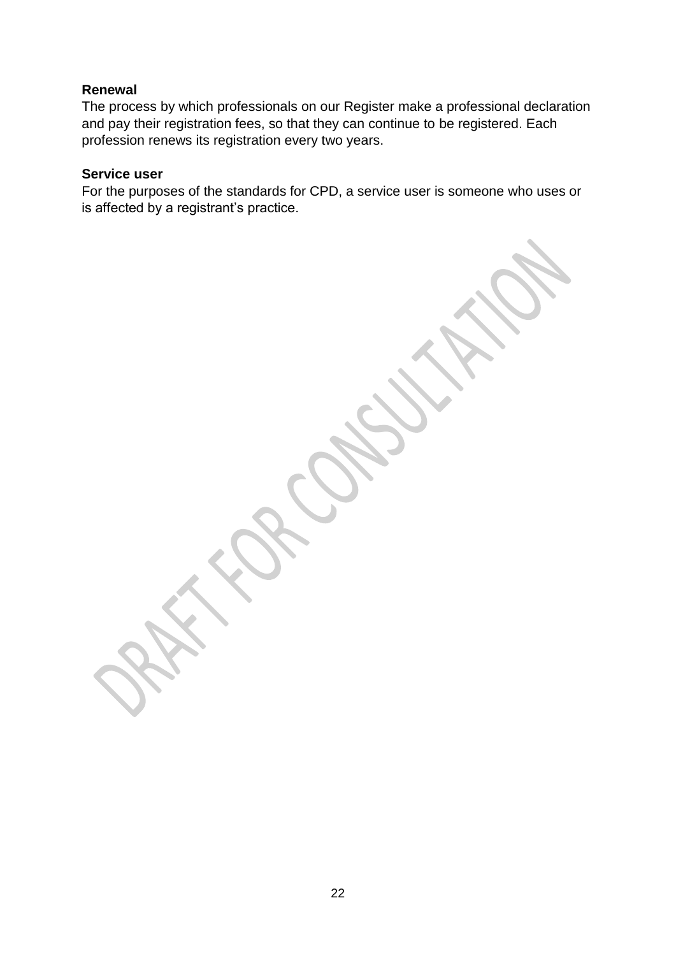#### **Renewal**

The process by which professionals on our Register make a professional declaration and pay their registration fees, so that they can continue to be registered. Each profession renews its registration every two years.

#### **Service user**

For the purposes of the standards for CPD, a service user is someone who uses or is affected by a registrant's practice.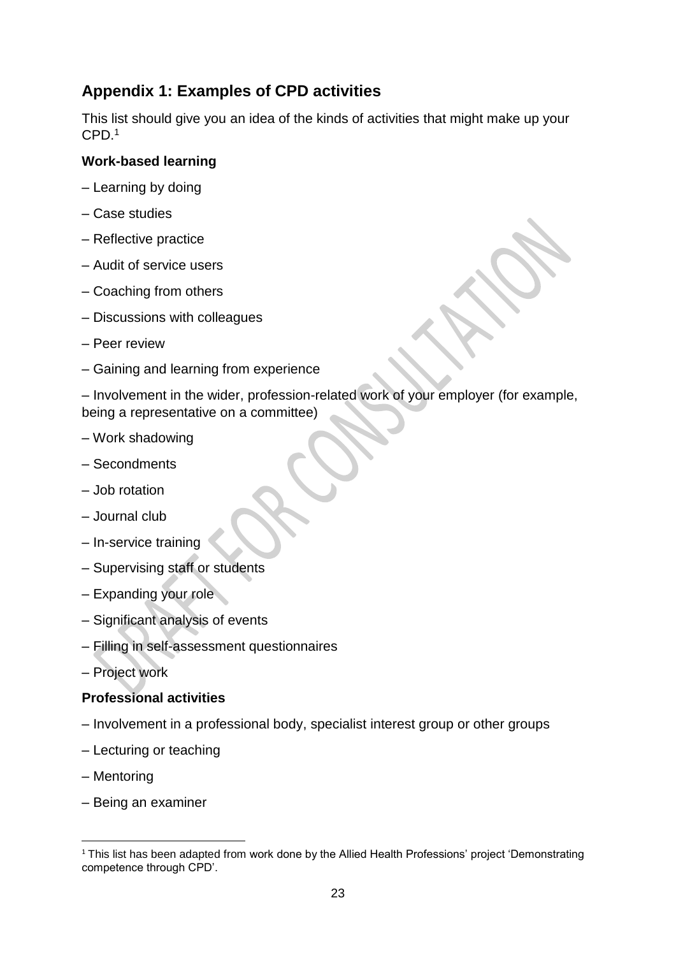# **Appendix 1: Examples of CPD activities**

This list should give you an idea of the kinds of activities that might make up your CPD.<sup>1</sup>

#### **Work-based learning**

- Learning by doing
- Case studies
- Reflective practice
- Audit of service users
- Coaching from others
- Discussions with colleagues
- Peer review
- Gaining and learning from experience

– Involvement in the wider, profession-related work of your employer (for example, being a representative on a committee)

- Work shadowing
- Secondments
- Job rotation
- Journal club
- In-service training
- Supervising staff or students
- Expanding your role
- Significant analysis of events
- Filling in self-assessment questionnaires
- Project work

#### **Professional activities**

- Involvement in a professional body, specialist interest group or other groups
- Lecturing or teaching
- Mentoring

**.** 

– Being an examiner

<sup>&</sup>lt;sup>1</sup> This list has been adapted from work done by the Allied Health Professions' project 'Demonstrating competence through CPD'.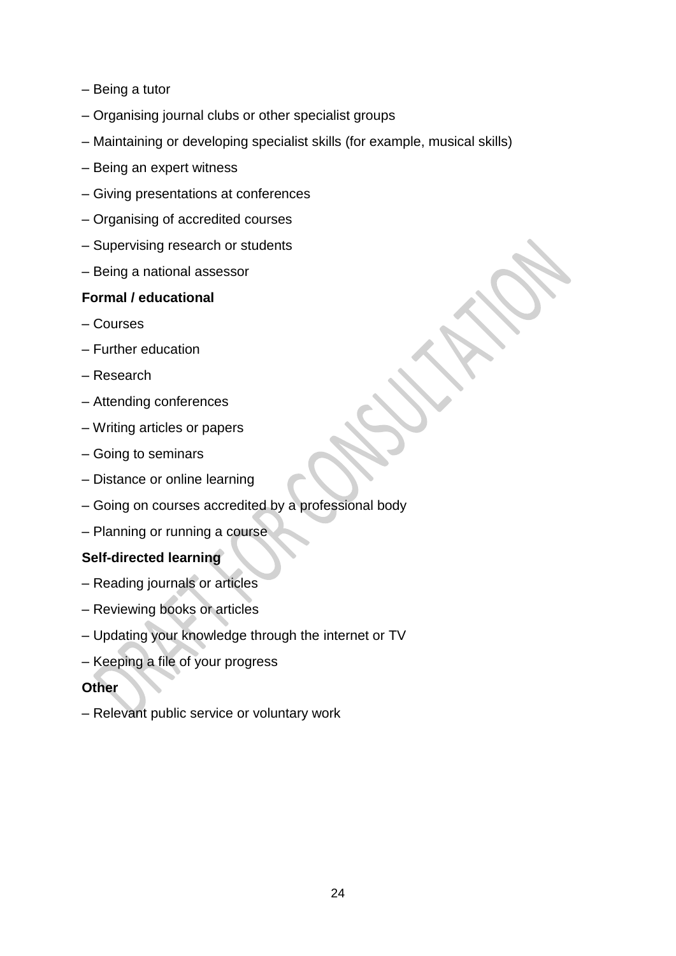- Being a tutor
- Organising journal clubs or other specialist groups
- Maintaining or developing specialist skills (for example, musical skills)
- Being an expert witness
- Giving presentations at conferences
- Organising of accredited courses
- Supervising research or students
- Being a national assessor

#### **Formal / educational**

- Courses
- Further education
- Research
- Attending conferences
- Writing articles or papers
- Going to seminars
- Distance or online learning
- Going on courses accredited by a professional body
- Planning or running a course

#### **Self-directed learning**

- Reading journals or articles
- Reviewing books or articles
- Updating your knowledge through the internet or TV
- Keeping a file of your progress

#### **Other**

– Relevant public service or voluntary work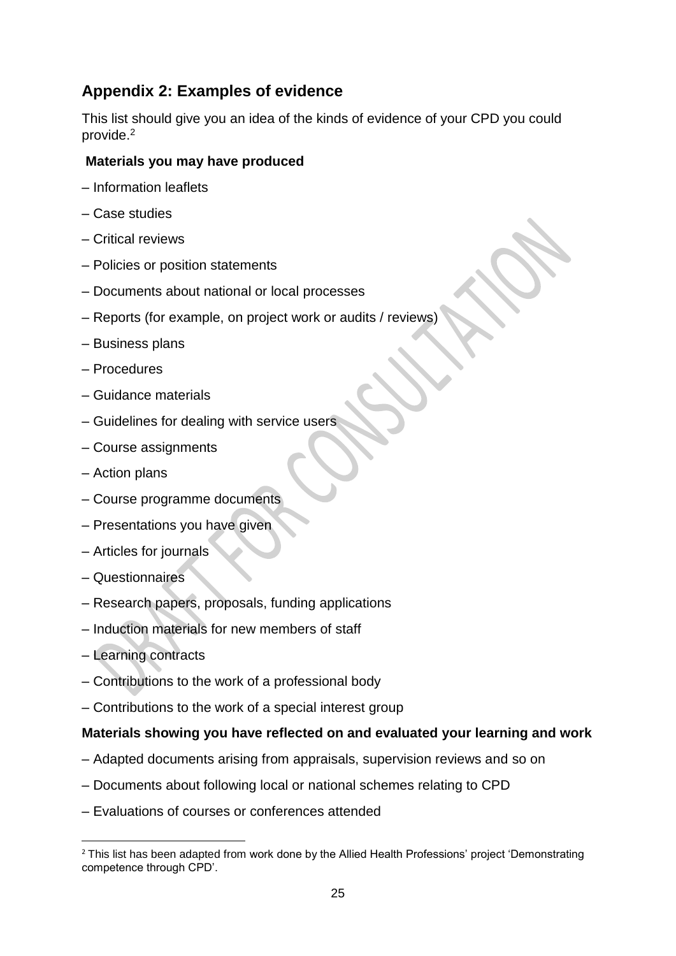# **Appendix 2: Examples of evidence**

This list should give you an idea of the kinds of evidence of your CPD you could provide.<sup>2</sup>

#### **Materials you may have produced**

- Information leaflets
- Case studies
- Critical reviews
- Policies or position statements
- Documents about national or local processes
- Reports (for example, on project work or audits / reviews)
- Business plans
- Procedures
- Guidance materials
- Guidelines for dealing with service users
- Course assignments
- Action plans
- Course programme documents
- Presentations you have given
- Articles for journals
- Questionnaires
- Research papers, proposals, funding applications
- Induction materials for new members of staff
- Learning contracts
- Contributions to the work of a professional body
- Contributions to the work of a special interest group

#### **Materials showing you have reflected on and evaluated your learning and work**

- Adapted documents arising from appraisals, supervision reviews and so on
- Documents about following local or national schemes relating to CPD
- Evaluations of courses or conferences attended

**<sup>.</sup>** <sup>2</sup> This list has been adapted from work done by the Allied Health Professions' project 'Demonstrating competence through CPD'.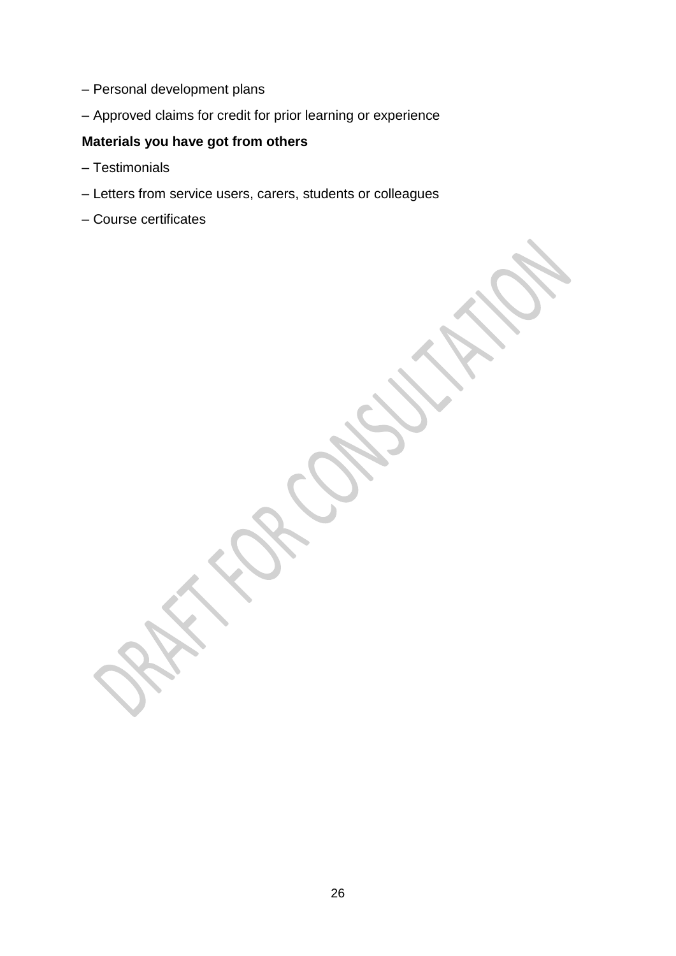- Personal development plans
- Approved claims for credit for prior learning or experience

# **Materials you have got from others**

- Testimonials
- Letters from service users, carers, students or colleagues
- Course certificates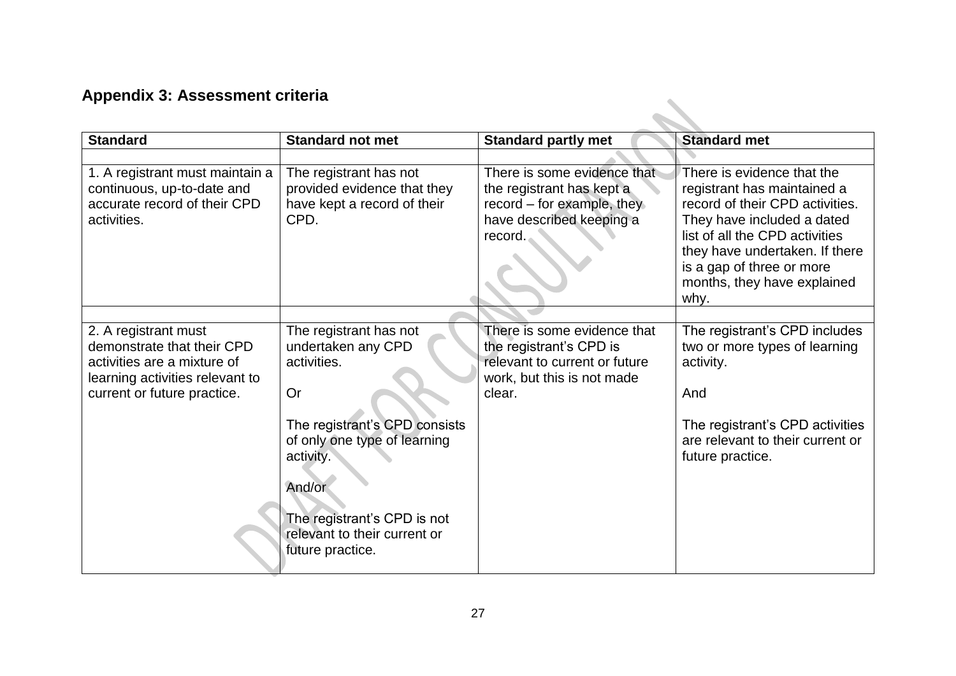# **Appendix 3: Assessment criteria**

| Appendix 5: Assessment criteria                                                                                                                     |                                                                                                                                                                         |                                                                                                                                 |                                                                                                                                                                                                                                                                    |
|-----------------------------------------------------------------------------------------------------------------------------------------------------|-------------------------------------------------------------------------------------------------------------------------------------------------------------------------|---------------------------------------------------------------------------------------------------------------------------------|--------------------------------------------------------------------------------------------------------------------------------------------------------------------------------------------------------------------------------------------------------------------|
| <b>Standard</b>                                                                                                                                     | <b>Standard not met</b>                                                                                                                                                 | <b>Standard partly met</b>                                                                                                      | <b>Standard met</b>                                                                                                                                                                                                                                                |
|                                                                                                                                                     |                                                                                                                                                                         |                                                                                                                                 |                                                                                                                                                                                                                                                                    |
| 1. A registrant must maintain a<br>continuous, up-to-date and<br>accurate record of their CPD<br>activities.                                        | The registrant has not<br>provided evidence that they<br>have kept a record of their<br>CPD.                                                                            | There is some evidence that<br>the registrant has kept a<br>record $-$ for example, they<br>have described keeping a<br>record. | There is evidence that the<br>registrant has maintained a<br>record of their CPD activities.<br>They have included a dated<br>list of all the CPD activities<br>they have undertaken. If there<br>is a gap of three or more<br>months, they have explained<br>why. |
|                                                                                                                                                     |                                                                                                                                                                         |                                                                                                                                 |                                                                                                                                                                                                                                                                    |
| 2. A registrant must<br>demonstrate that their CPD<br>activities are a mixture of<br>learning activities relevant to<br>current or future practice. | The registrant has not<br>undertaken any CPD<br>activities.<br>Or                                                                                                       | There is some evidence that<br>the registrant's CPD is<br>relevant to current or future<br>work, but this is not made<br>clear. | The registrant's CPD includes<br>two or more types of learning<br>activity.<br>And                                                                                                                                                                                 |
|                                                                                                                                                     | The registrant's CPD consists<br>of only one type of learning<br>activity.<br>And/or<br>The registrant's CPD is not<br>relevant to their current or<br>future practice. |                                                                                                                                 | The registrant's CPD activities<br>are relevant to their current or<br>future practice.                                                                                                                                                                            |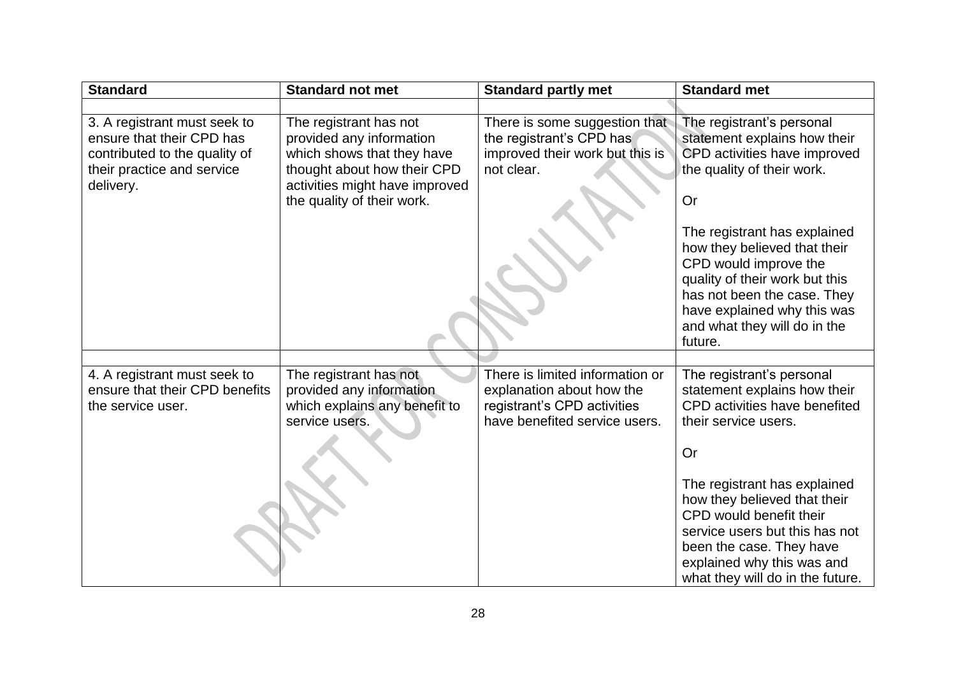| <b>Standard</b>                                                                                                                       | <b>Standard not met</b>                                                                                                                                                         | <b>Standard partly met</b>                                                                                                   | <b>Standard met</b>                                                                                                                                                                                                                                                                                                                                               |
|---------------------------------------------------------------------------------------------------------------------------------------|---------------------------------------------------------------------------------------------------------------------------------------------------------------------------------|------------------------------------------------------------------------------------------------------------------------------|-------------------------------------------------------------------------------------------------------------------------------------------------------------------------------------------------------------------------------------------------------------------------------------------------------------------------------------------------------------------|
|                                                                                                                                       |                                                                                                                                                                                 |                                                                                                                              |                                                                                                                                                                                                                                                                                                                                                                   |
| 3. A registrant must seek to<br>ensure that their CPD has<br>contributed to the quality of<br>their practice and service<br>delivery. | The registrant has not<br>provided any information<br>which shows that they have<br>thought about how their CPD<br>activities might have improved<br>the quality of their work. | There is some suggestion that<br>the registrant's CPD has<br>improved their work but this is<br>not clear.                   | The registrant's personal<br>statement explains how their<br>CPD activities have improved<br>the quality of their work.<br>Or<br>The registrant has explained<br>how they believed that their<br>CPD would improve the<br>quality of their work but this<br>has not been the case. They<br>have explained why this was<br>and what they will do in the<br>future. |
|                                                                                                                                       |                                                                                                                                                                                 |                                                                                                                              |                                                                                                                                                                                                                                                                                                                                                                   |
| 4. A registrant must seek to<br>ensure that their CPD benefits<br>the service user.                                                   | The registrant has not<br>provided any information<br>which explains any benefit to<br>service users.                                                                           | There is limited information or<br>explanation about how the<br>registrant's CPD activities<br>have benefited service users. | The registrant's personal<br>statement explains how their<br>CPD activities have benefited<br>their service users.<br><b>Or</b><br>The registrant has explained<br>how they believed that their<br>CPD would benefit their<br>service users but this has not<br>been the case. They have<br>explained why this was and<br>what they will do in the future.        |